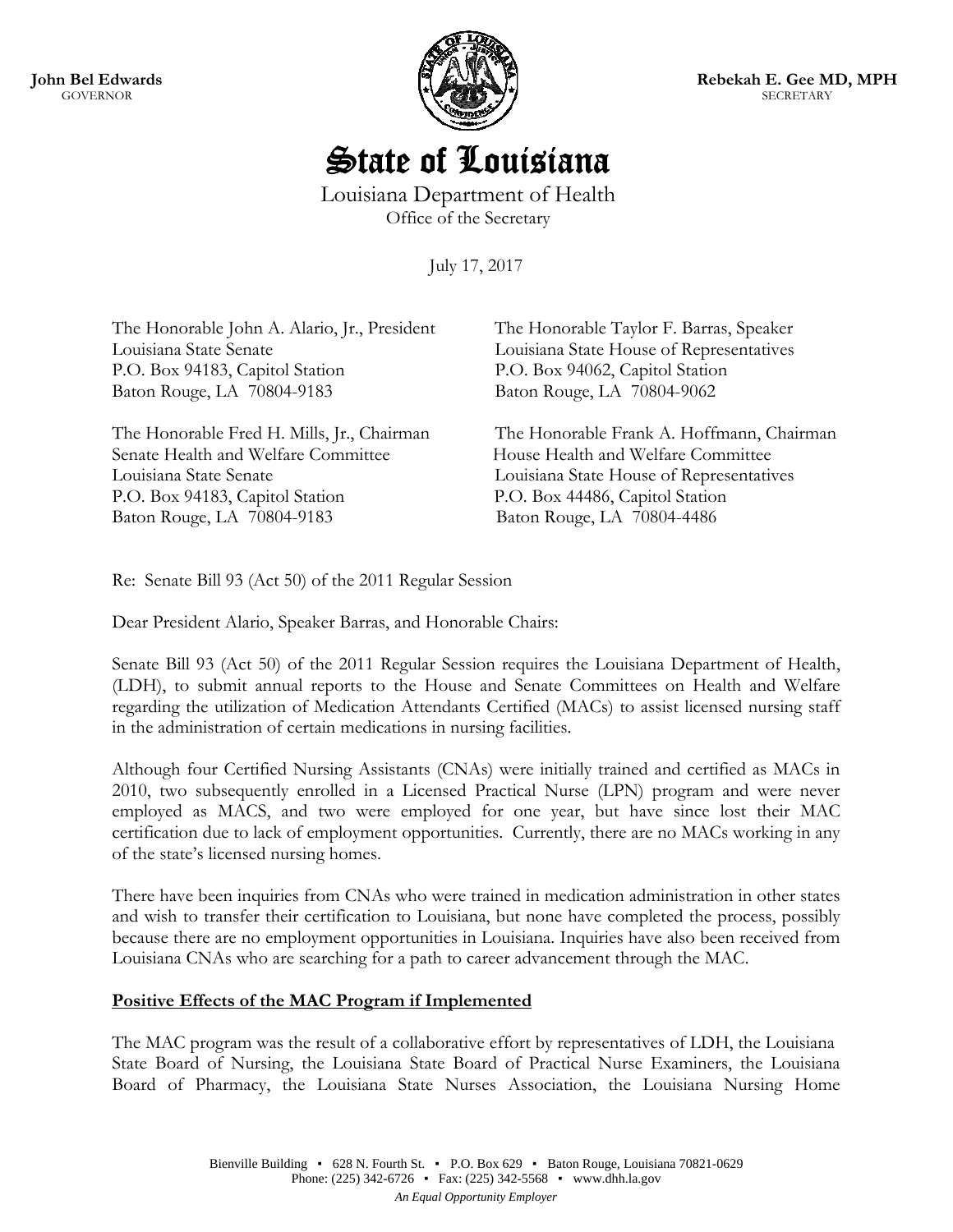**John Bel Edwards**  GOVERNOR



**Rebekah E. Gee MD, MPH**  SECRETARY

## State of Louisiana

Louisiana Department of Health Office of the Secretary

July 17, 2017

| The Honorable John A. Alario, Jr., President | The Honorable Taylor F. Barras, Speaker   |
|----------------------------------------------|-------------------------------------------|
| Louisiana State Senate                       | Louisiana State House of Representatives  |
| P.O. Box 94183, Capitol Station              | P.O. Box 94062, Capitol Station           |
| Baton Rouge, LA 70804-9183                   | Baton Rouge, LA 70804-9062                |
|                                              |                                           |
| The Honorable Fred H. Mills, Jr., Chairman   | The Honorable Frank A. Hoffmann, Chairman |
| Senate Health and Welfare Committee          | House Health and Welfare Committee        |
| Louisiana State Senate                       | Louisiana State House of Representatives  |
| P.O. Box 94183, Capitol Station              | P.O. Box 44486, Capitol Station           |
|                                              |                                           |

Baton Rouge, LA 70804-9183 Baton Rouge, LA 70804-4486

Re: Senate Bill 93 (Act 50) of the 2011 Regular Session

Dear President Alario, Speaker Barras, and Honorable Chairs:

Senate Bill 93 (Act 50) of the 2011 Regular Session requires the Louisiana Department of Health, (LDH), to submit annual reports to the House and Senate Committees on Health and Welfare regarding the utilization of Medication Attendants Certified (MACs) to assist licensed nursing staff in the administration of certain medications in nursing facilities.

Although four Certified Nursing Assistants (CNAs) were initially trained and certified as MACs in 2010, two subsequently enrolled in a Licensed Practical Nurse (LPN) program and were never employed as MACS, and two were employed for one year, but have since lost their MAC certification due to lack of employment opportunities. Currently, there are no MACs working in any of the state's licensed nursing homes.

There have been inquiries from CNAs who were trained in medication administration in other states and wish to transfer their certification to Louisiana, but none have completed the process, possibly because there are no employment opportunities in Louisiana. Inquiries have also been received from Louisiana CNAs who are searching for a path to career advancement through the MAC.

## **Positive Effects of the MAC Program if Implemented**

The MAC program was the result of a collaborative effort by representatives of LDH, the Louisiana State Board of Nursing, the Louisiana State Board of Practical Nurse Examiners, the Louisiana Board of Pharmacy, the Louisiana State Nurses Association, the Louisiana Nursing Home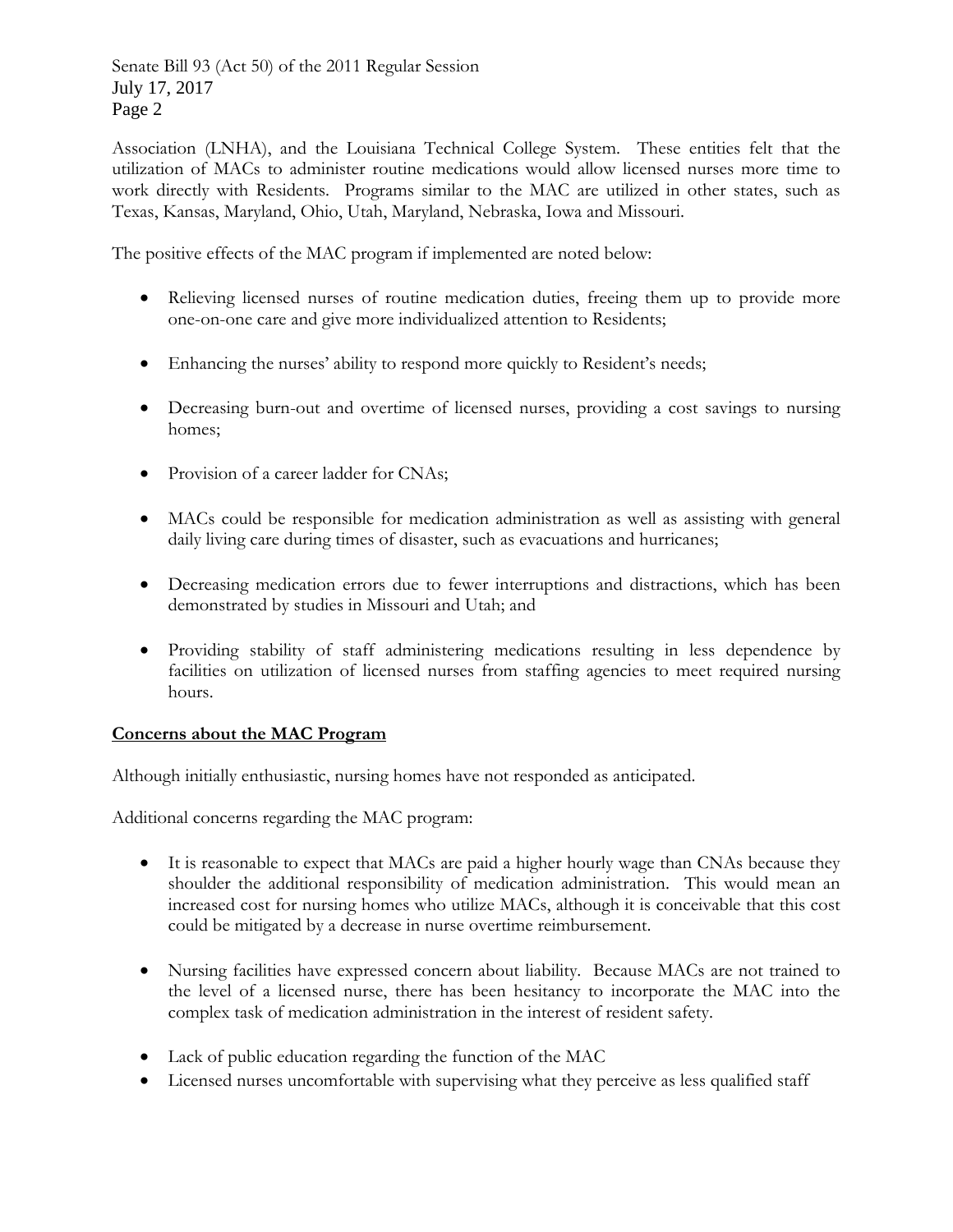Senate Bill 93 (Act 50) of the 2011 Regular Session July 17, 2017 Page 2

Association (LNHA), and the Louisiana Technical College System. These entities felt that the utilization of MACs to administer routine medications would allow licensed nurses more time to work directly with Residents. Programs similar to the MAC are utilized in other states, such as Texas, Kansas, Maryland, Ohio, Utah, Maryland, Nebraska, Iowa and Missouri.

The positive effects of the MAC program if implemented are noted below:

- Relieving licensed nurses of routine medication duties, freeing them up to provide more one-on-one care and give more individualized attention to Residents;
- Enhancing the nurses' ability to respond more quickly to Resident's needs;
- Decreasing burn-out and overtime of licensed nurses, providing a cost savings to nursing homes;
- Provision of a career ladder for CNAs;
- MACs could be responsible for medication administration as well as assisting with general daily living care during times of disaster, such as evacuations and hurricanes;
- Decreasing medication errors due to fewer interruptions and distractions, which has been demonstrated by studies in Missouri and Utah; and
- Providing stability of staff administering medications resulting in less dependence by facilities on utilization of licensed nurses from staffing agencies to meet required nursing hours.

## **Concerns about the MAC Program**

Although initially enthusiastic, nursing homes have not responded as anticipated.

Additional concerns regarding the MAC program:

- It is reasonable to expect that MACs are paid a higher hourly wage than CNAs because they shoulder the additional responsibility of medication administration. This would mean an increased cost for nursing homes who utilize MACs, although it is conceivable that this cost could be mitigated by a decrease in nurse overtime reimbursement.
- Nursing facilities have expressed concern about liability. Because MACs are not trained to the level of a licensed nurse, there has been hesitancy to incorporate the MAC into the complex task of medication administration in the interest of resident safety.
- Lack of public education regarding the function of the MAC
- Licensed nurses uncomfortable with supervising what they perceive as less qualified staff